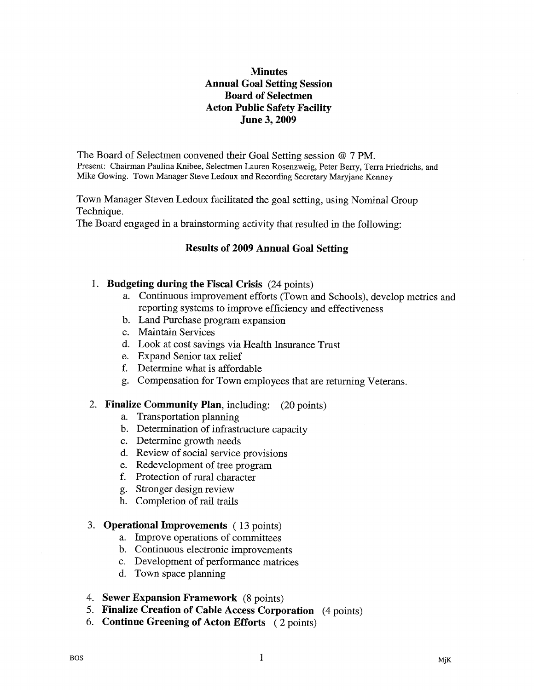# **Minutes** Annual Goal Setting Session Board of Selectmen Acton Public Safety Facility June 3, 2009

The Board of Selectmen convened their Goal Setting session @ 7 PM. Present: Chairman Paulina Knibee, Selectmen Lauren Rosenzweig, Peter Berry, Terra Friedrichs, and Mike Gowing. Town Manager Steve Ledoux and Recording Secretary Maryjane Kenney

Town Manager Steven Ledoux facilitated the goal setting, using Nominal Group Technique.

The Board engaged in a brainstorming activity that resulted in the following:

## Results of 2009 Annual Goal Setting

### 1. Budgeting during the Fiscal Crisis (24 points)

- a. Continuous improvement efforts (Town and Schools), develop metrics and reporting systems to improve efficiency and effectiveness
- b. Land Purchase program expansion
- c. Maintain Services
- d. Look at cost savings via Health Insurance Trust
- e. Expand Senior tax relief
- f. Determine what is affordable
- g. Compensation for Town employees that are returning Veterans.

#### 2. Finalize Community Plan, including: (20 points)

- a. Transportation planning
- b. Determination of infrastructure capacity
- c. Determine growth needs
- d. Review of social service provisions
- e. Redevelopment of tree program
- f. Protection of rural character
- g. Stronger design review
- h. Completion of rail trails

#### 3. Operational Improvements (13 points)

- a. Improve operations of committees
- b. Continuous electronic improvements
- c. Development of performance matrices
- d. Town space planning
- 4. Sewer Expansion Framework (8 points)
- 5. Finalize Creation of Cable Access Corporation (4 points)
- 6. Continue Greening of Acton Efforts (2 points)